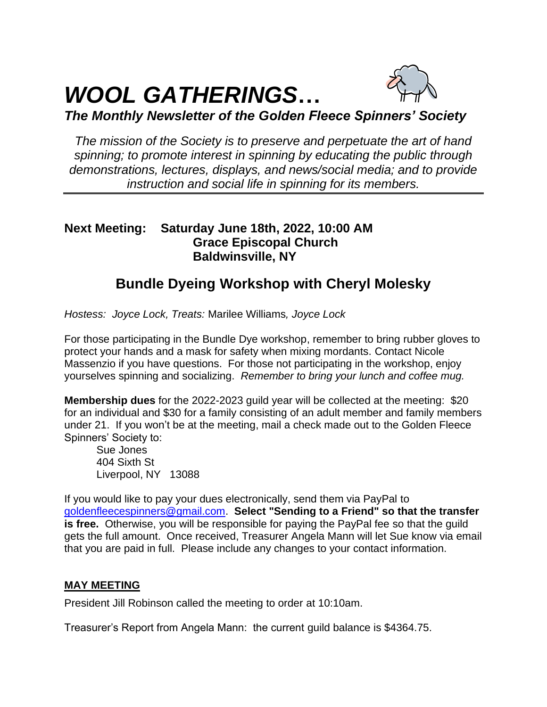# *WOOL GATHERINGS***…**



*The Monthly Newsletter of the Golden Fleece Spinners' Society*

*The mission of the Society is to preserve and perpetuate the art of hand spinning; to promote interest in spinning by educating the public through demonstrations, lectures, displays, and news/social media; and to provide instruction and social life in spinning for its members.*

## **Next Meeting: Saturday June 18th, 2022, 10:00 AM Grace Episcopal Church Baldwinsville, NY**

# **Bundle Dyeing Workshop with Cheryl Molesky**

*Hostess: Joyce Lock, Treats:* Marilee Williams*, Joyce Lock*

For those participating in the Bundle Dye workshop, remember to bring rubber gloves to protect your hands and a mask for safety when mixing mordants. Contact Nicole Massenzio if you have questions. For those not participating in the workshop, enjoy yourselves spinning and socializing. *Remember to bring your lunch and coffee mug.*

**Membership dues** for the 2022-2023 guild year will be collected at the meeting: \$20 for an individual and \$30 for a family consisting of an adult member and family members under 21. If you won't be at the meeting, mail a check made out to the Golden Fleece Spinners' Society to:

Sue Jones 404 Sixth St Liverpool, NY 13088

If you would like to pay your dues electronically, send them via PayPal to [goldenfleecespinners@gmail.com.](mailto:goldenfleecespinners@gmail.com) **Select "Sending to a Friend" so that the transfer is free.** Otherwise, you will be responsible for paying the PayPal fee so that the guild gets the full amount. Once received, Treasurer Angela Mann will let Sue know via email that you are paid in full. Please include any changes to your contact information.

### **MAY MEETING**

President Jill Robinson called the meeting to order at 10:10am.

Treasurer's Report from Angela Mann: the current guild balance is \$4364.75.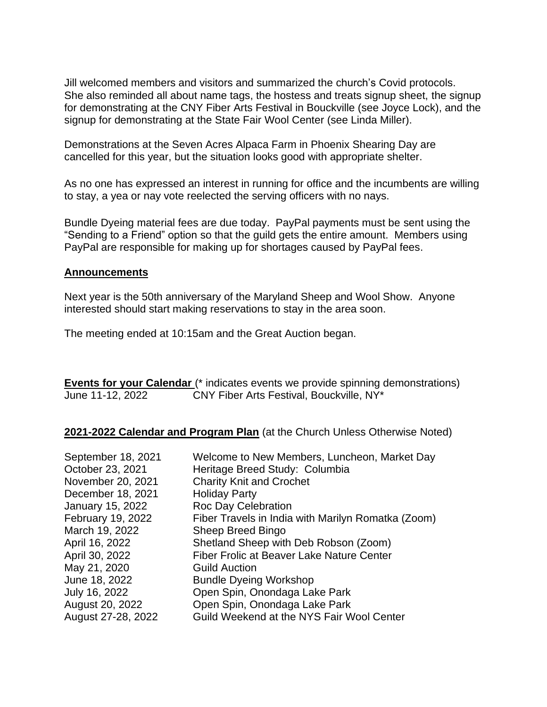Jill welcomed members and visitors and summarized the church's Covid protocols. She also reminded all about name tags, the hostess and treats signup sheet, the signup for demonstrating at the CNY Fiber Arts Festival in Bouckville (see Joyce Lock), and the signup for demonstrating at the State Fair Wool Center (see Linda Miller).

Demonstrations at the Seven Acres Alpaca Farm in Phoenix Shearing Day are cancelled for this year, but the situation looks good with appropriate shelter.

As no one has expressed an interest in running for office and the incumbents are willing to stay, a yea or nay vote reelected the serving officers with no nays.

Bundle Dyeing material fees are due today. PayPal payments must be sent using the "Sending to a Friend" option so that the guild gets the entire amount. Members using PayPal are responsible for making up for shortages caused by PayPal fees.

#### **Announcements**

Next year is the 50th anniversary of the Maryland Sheep and Wool Show. Anyone interested should start making reservations to stay in the area soon.

The meeting ended at 10:15am and the Great Auction began.

**Events for your Calendar** (\* indicates events we provide spinning demonstrations) June 11-12, 2022 CNY Fiber Arts Festival, Bouckville, NY\*

**2021-2022 Calendar and Program Plan** (at the Church Unless Otherwise Noted)

| September 18, 2021<br>October 23, 2021 | Welcome to New Members, Luncheon, Market Day<br>Heritage Breed Study: Columbia |
|----------------------------------------|--------------------------------------------------------------------------------|
| November 20, 2021                      | <b>Charity Knit and Crochet</b>                                                |
| December 18, 2021                      | <b>Holiday Party</b>                                                           |
|                                        |                                                                                |
| <b>January 15, 2022</b>                | <b>Roc Day Celebration</b>                                                     |
| February 19, 2022                      | Fiber Travels in India with Marilyn Romatka (Zoom)                             |
| March 19, 2022                         | Sheep Breed Bingo                                                              |
| April 16, 2022                         | Shetland Sheep with Deb Robson (Zoom)                                          |
| April 30, 2022                         | Fiber Frolic at Beaver Lake Nature Center                                      |
| May 21, 2020                           | <b>Guild Auction</b>                                                           |
| June 18, 2022                          | <b>Bundle Dyeing Workshop</b>                                                  |
| July 16, 2022                          | Open Spin, Onondaga Lake Park                                                  |
| August 20, 2022                        | Open Spin, Onondaga Lake Park                                                  |
| August 27-28, 2022                     | Guild Weekend at the NYS Fair Wool Center                                      |